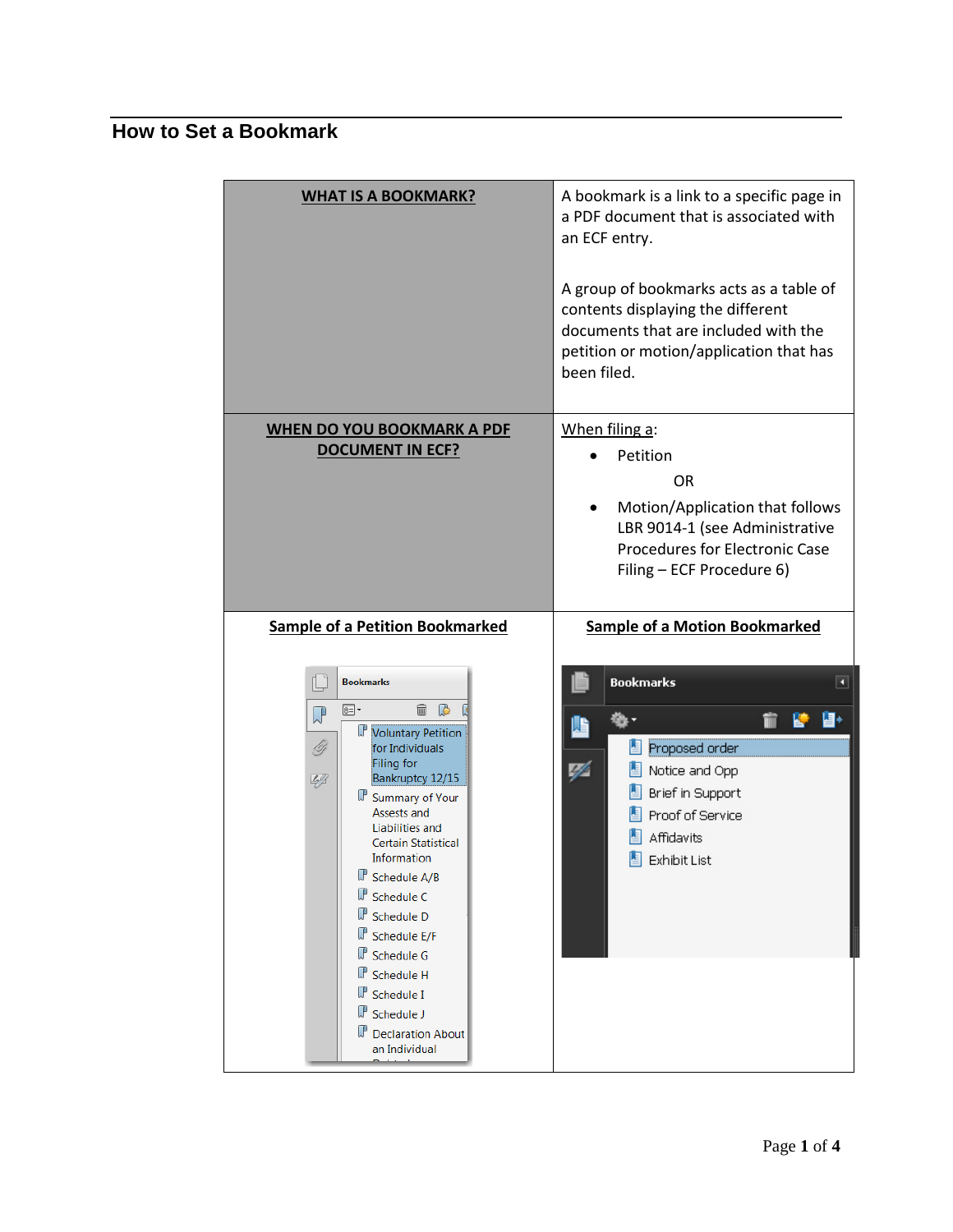## **How to Set a Bookmark**

| <b>WHAT IS A BOOKMARK?</b>                                                                                                                                                                                                                                                                                                                                                                                                                  | A bookmark is a link to a specific page in<br>a PDF document that is associated with<br>an ECF entry.<br>A group of bookmarks acts as a table of<br>contents displaying the different<br>documents that are included with the<br>petition or motion/application that has<br>been filed. |
|---------------------------------------------------------------------------------------------------------------------------------------------------------------------------------------------------------------------------------------------------------------------------------------------------------------------------------------------------------------------------------------------------------------------------------------------|-----------------------------------------------------------------------------------------------------------------------------------------------------------------------------------------------------------------------------------------------------------------------------------------|
| <b>WHEN DO YOU BOOKMARK A PDF</b>                                                                                                                                                                                                                                                                                                                                                                                                           | When filing a:                                                                                                                                                                                                                                                                          |
| <b>DOCUMENT IN ECF?</b>                                                                                                                                                                                                                                                                                                                                                                                                                     | Petition<br><b>OR</b><br>Motion/Application that follows<br>LBR 9014-1 (see Administrative<br>Procedures for Electronic Case<br>Filing - ECF Procedure 6)                                                                                                                               |
| <b>Sample of a Petition Bookmarked</b>                                                                                                                                                                                                                                                                                                                                                                                                      | <b>Sample of a Motion Bookmarked</b>                                                                                                                                                                                                                                                    |
| <b>Bookmarks</b><br>$\mathbb{C}$<br>8∃•<br>fii<br>$\mathbb{Q}$<br>Voluntary Petition<br>97<br>for Individuals<br>Filing for<br>49<br>Bankruptcy 12/15<br>Summary of Your<br>Assests and<br>Liabilities and<br><b>Certain Statistical</b><br>Information<br>Schedule A/B<br>Schedule C<br>Schedule D<br>Schedule E/F<br>Schedule G<br>Schedule H<br>$\mathbb{J}^{\mathbb{P}}$ Schedule I<br>Schedule J<br>Declaration About<br>an Individual | <b>Bookmarks</b><br>◘<br>⊌<br>TIT<br>屿<br>Proposed order<br>44<br>Notice and Opp<br>Brief in Support<br>Proof of Service<br><b>Affidavits</b><br><b>Exhibit List</b>                                                                                                                    |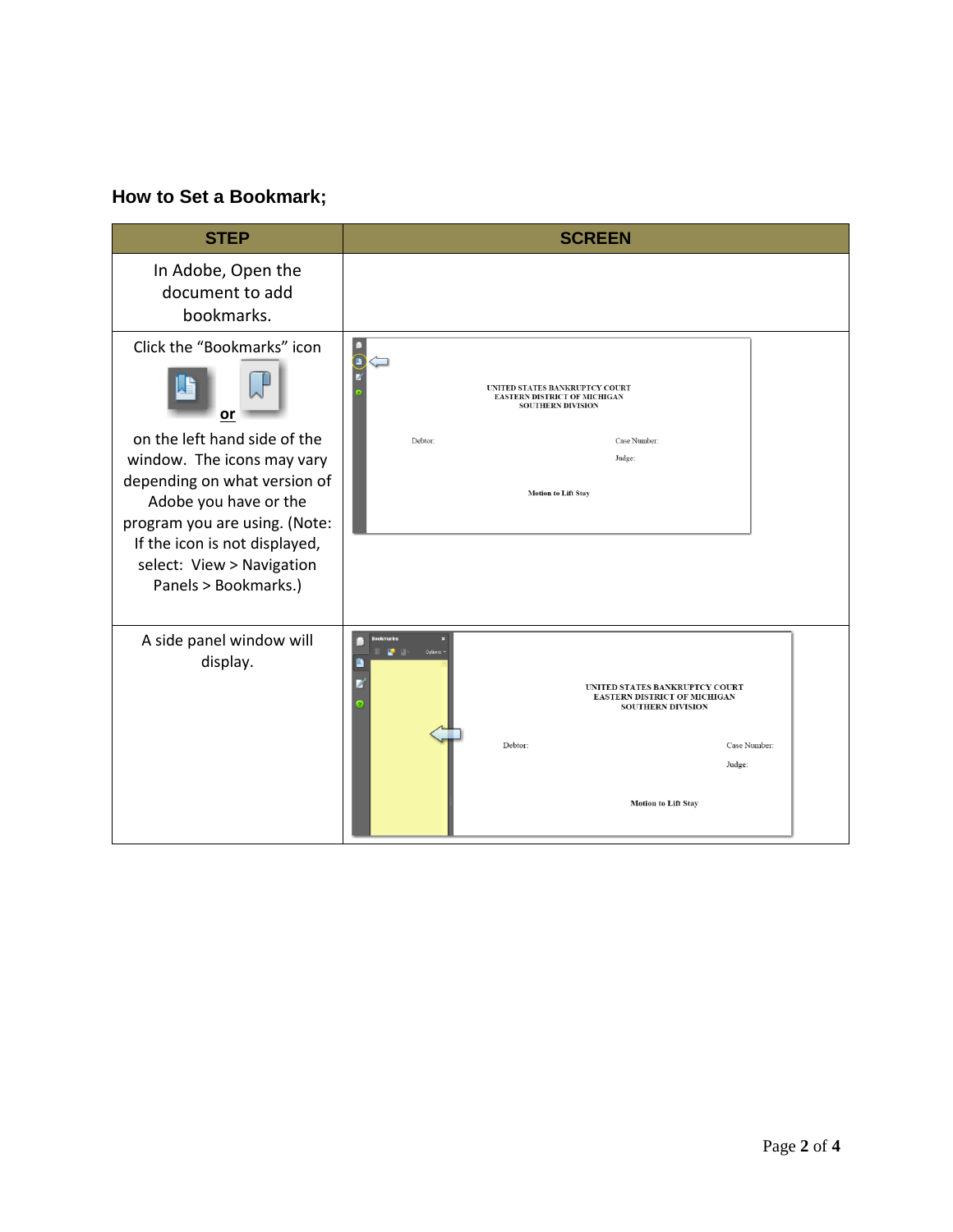## **How to Set a Bookmark;**

| <b>STEP</b>                                                                                                                                                                                                                                                                    | <b>SCREEN</b>                                                                                                                                                                                                                       |
|--------------------------------------------------------------------------------------------------------------------------------------------------------------------------------------------------------------------------------------------------------------------------------|-------------------------------------------------------------------------------------------------------------------------------------------------------------------------------------------------------------------------------------|
| In Adobe, Open the<br>document to add<br>bookmarks.                                                                                                                                                                                                                            |                                                                                                                                                                                                                                     |
| Click the "Bookmarks" icon<br>or<br>on the left hand side of the<br>window. The icons may vary<br>depending on what version of<br>Adobe you have or the<br>program you are using. (Note:<br>If the icon is not displayed,<br>select: View > Navigation<br>Panels > Bookmarks.) | $\begin{array}{c} \blacksquare \\ \blacksquare \end{array}$<br>UNITED STATES BANKRUPTCY COURT<br><b>EASTERN DISTRICT OF MICHIGAN</b><br><b>SOUTHERN DIVISION</b><br>Debtor:<br>Case Number:<br>Judge:<br><b>Motion to Lift Stay</b> |
| A side panel window will<br>display.                                                                                                                                                                                                                                           | narks<br>e a<br>Options<br>UNITED STATES BANKRUPTCY COURT<br><b>EASTERN DISTRICT OF MICHIGAN</b><br><b>SOUTHERN DIVISION</b><br>Case Number:<br>Debtor:<br>Judge:<br><b>Motion to Lift Stay</b>                                     |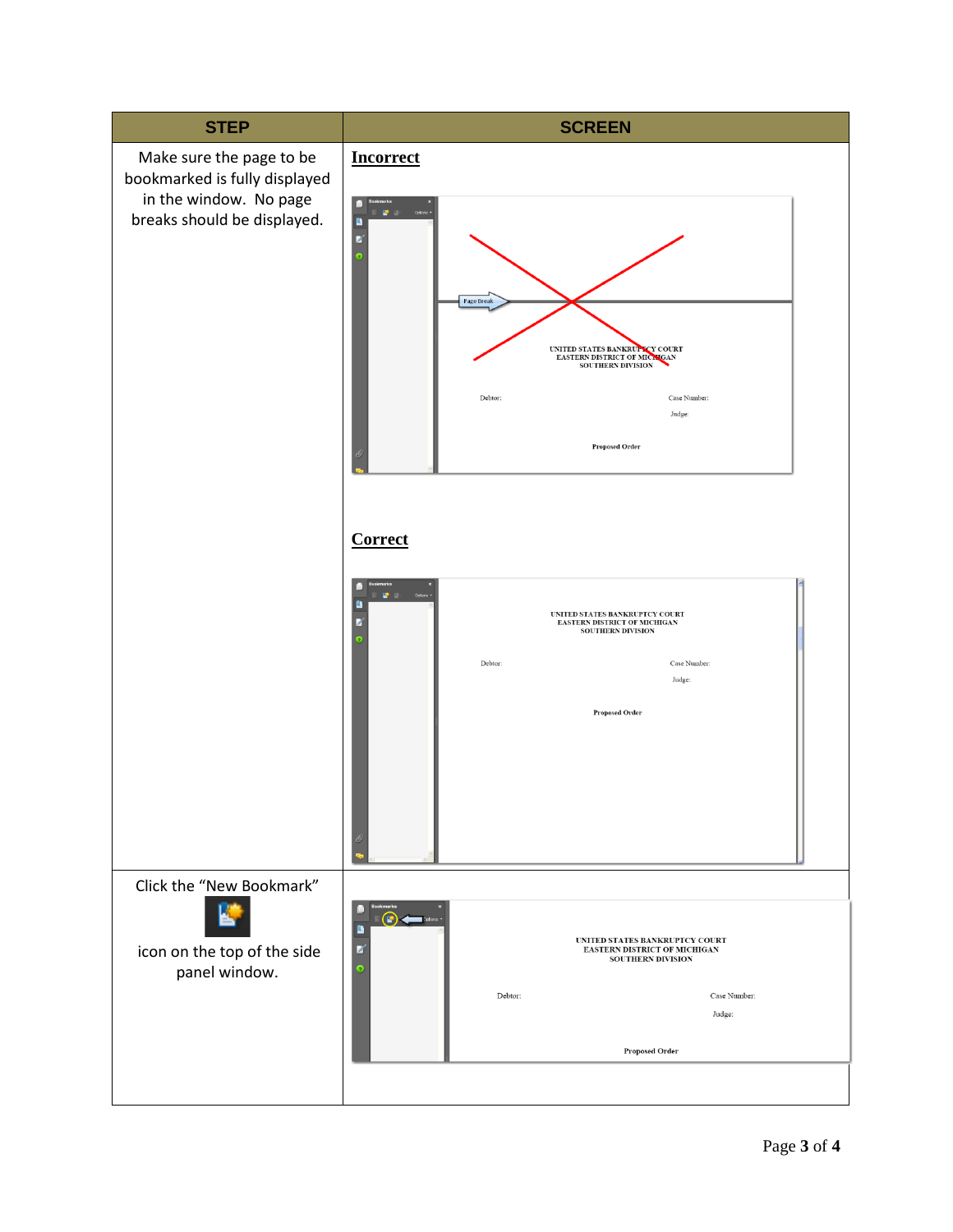